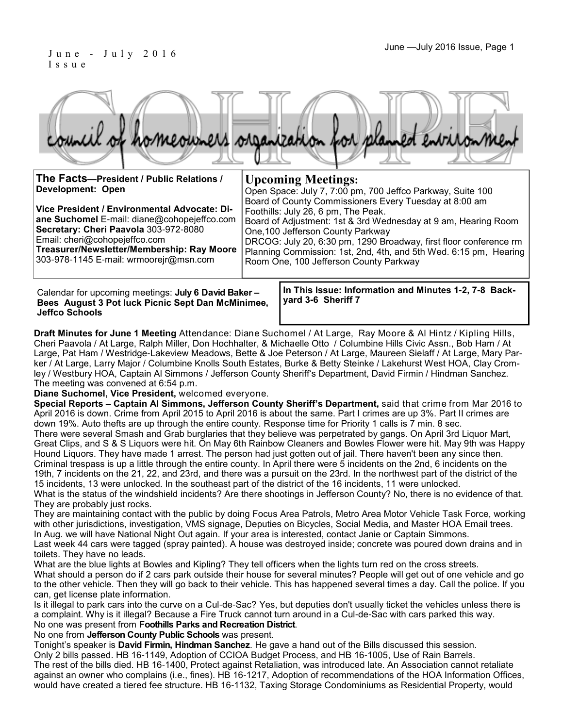#### June —July 2016 Issue, Page 1 J u n e - J u l y 2 0 1 6 I s s u e

|  |  |  | council of homeowners organization for planned environment |
|--|--|--|------------------------------------------------------------|
|  |  |  |                                                            |

| The Facts--President / Public Relations /<br><b>Development: Open</b> | <b>Upcoming Meetings:</b><br>Open Space: July 7, 7:00 pm, 700 Jeffco Parkway, Suite 100<br>Board of County Commissioners Every Tuesday at 8:00 am |
|-----------------------------------------------------------------------|---------------------------------------------------------------------------------------------------------------------------------------------------|
| Vice President / Environmental Advocate: Di-                          | Foothills: July 26, 6 pm, The Peak.                                                                                                               |
| ane Suchomel E-mail: diane@cohopejeffco.com                           | Board of Adjustment: 1st & 3rd Wednesday at 9 am, Hearing Room                                                                                    |
| Secretary: Cheri Paavola 303-972-8080                                 | One, 100 Jefferson County Parkway                                                                                                                 |
| Email: cheri@cohopejeffco.com                                         | DRCOG: July 20, 6:30 pm, 1290 Broadway, first floor conference rm                                                                                 |
| Treasurer/Newsletter/Membership: Ray Moore                            | Planning Commission: 1st, 2nd, 4th, and 5th Wed. 6:15 pm, Hearing                                                                                 |
| 303-978-1145 E-mail: wrmoorejr@msn.com                                | Room One, 100 Jefferson County Parkway                                                                                                            |

Calendar for upcoming meetings: **July 6 David Baker – Bees August 3 Pot luck Picnic Sept Dan McMinimee, Jeffco Schools**

**In This Issue: Information and Minutes 1-2, 7-8 Backyard 3-6 Sheriff 7** 

**Draft Minutes for June 1 Meeting** Attendance: Diane Suchomel / At Large, Ray Moore & Al Hintz / Kipling Hills, Cheri Paavola / At Large, Ralph Miller, Don Hochhalter, & Michaelle Otto / Columbine Hills Civic Assn., Bob Ham / At Large, Pat Ham / Westridge-Lakeview Meadows, Bette & Joe Peterson / At Large, Maureen Sielaff / At Large, Mary Parker / At Large, Larry Major / Columbine Knolls South Estates, Burke & Betty Steinke / Lakehurst West HOA, Clay Cromley / Westbury HOA, Captain Al Simmons / Jefferson County Sheriff's Department, David Firmin / Hindman Sanchez. The meeting was convened at 6:54 p.m.

**Diane Suchomel, Vice President,** welcomed everyone.

**Special Reports – Captain Al Simmons, Jefferson County Sheriff's Department,** said that crime from Mar 2016 to April 2016 is down. Crime from April 2015 to April 2016 is about the same. Part I crimes are up 3%. Part II crimes are down 19%. Auto thefts are up through the entire county. Response time for Priority 1 calls is 7 min. 8 sec. There were several Smash and Grab burglaries that they believe was perpetrated by gangs. On April 3rd Liquor Mart, Great Clips, and S & S Liquors were hit. On May 6th Rainbow Cleaners and Bowles Flower were hit. May 9th was Happy Hound Liquors. They have made 1 arrest. The person had just gotten out of jail. There haven't been any since then. Criminal trespass is up a little through the entire county. In April there were 5 incidents on the 2nd, 6 incidents on the 19th, 7 incidents on the 21, 22, and 23rd, and there was a pursuit on the 23rd. In the northwest part of the district of the 15 incidents, 13 were unlocked. In the southeast part of the district of the 16 incidents, 11 were unlocked. What is the status of the windshield incidents? Are there shootings in Jefferson County? No, there is no evidence of that. They are probably just rocks.

They are maintaining contact with the public by doing Focus Area Patrols, Metro Area Motor Vehicle Task Force, working with other jurisdictions, investigation, VMS signage, Deputies on Bicycles, Social Media, and Master HOA Email trees. In Aug. we will have National Night Out again. If your area is interested, contact Janie or Captain Simmons.

Last week 44 cars were tagged (spray painted). A house was destroyed inside; concrete was poured down drains and in toilets. They have no leads.

What are the blue lights at Bowles and Kipling? They tell officers when the lights turn red on the cross streets. What should a person do if 2 cars park outside their house for several minutes? People will get out of one vehicle and go to the other vehicle. Then they will go back to their vehicle. This has happened several times a day. Call the police. If you can, get license plate information.

Is it illegal to park cars into the curve on a Cul-de-Sac? Yes, but deputies don't usually ticket the vehicles unless there is a complaint. Why is it illegal? Because a Fire Truck cannot turn around in a Cul-de-Sac with cars parked this way. No one was present from **Foothills Parks and Recreation District**.

No one from **Jefferson County Public Schools** was present.

Tonight's speaker is **David Firmin, Hindman Sanchez**. He gave a hand out of the Bills discussed this session. Only 2 bills passed. HB 16-1149, Adoption of CCIOA Budget Process, and HB 16-1005, Use of Rain Barrels. The rest of the bills died. HB 16-1400, Protect against Retaliation, was introduced late. An Association cannot retaliate against an owner who complains (i.e., fines). HB 16-1217, Adoption of recommendations of the HOA Information Offices, would have created a tiered fee structure. HB 16-1132, Taxing Storage Condominiums as Residential Property, would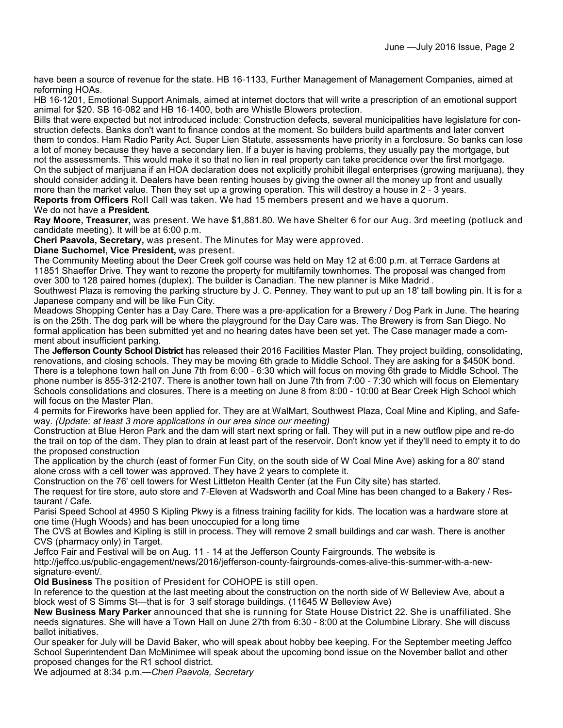have been a source of revenue for the state. HB 16-1133, Further Management of Management Companies, aimed at reforming HOAs.

HB 16-1201, Emotional Support Animals, aimed at internet doctors that will write a prescription of an emotional support animal for \$20. SB 16-082 and HB 16-1400, both are Whistle Blowers protection.

Bills that were expected but not introduced include: Construction defects, several municipalities have legislature for construction defects. Banks don't want to finance condos at the moment. So builders build apartments and later convert them to condos. Ham Radio Parity Act. Super Lien Statute, assessments have priority in a forclosure. So banks can lose a lot of money because they have a secondary lien. If a buyer is having problems, they usually pay the mortgage, but not the assessments. This would make it so that no lien in real property can take precidence over the first mortgage. On the subject of marijuana if an HOA declaration does not explicitly prohibit illegal enterprises (growing marijuana), they should consider adding it. Dealers have been renting houses by giving the owner all the money up front and usually more than the market value. Then they set up a growing operation. This will destroy a house in 2 - 3 years.

**Reports from Officers** Roll Call was taken. We had 15 members present and we have a quorum.

#### We do not have a **President.**

**Ray Moore, Treasurer,** was present. We have \$1,881.80. We have Shelter 6 for our Aug. 3rd meeting (potluck and candidate meeting). It will be at 6:00 p.m.

**Cheri Paavola, Secretary,** was present. The Minutes for May were approved.

#### **Diane Suchomel, Vice President,** was present.

The Community Meeting about the Deer Creek golf course was held on May 12 at 6:00 p.m. at Terrace Gardens at 11851 Shaeffer Drive. They want to rezone the property for multifamily townhomes. The proposal was changed from over 300 to 128 paired homes (duplex). The builder is Canadian. The new planner is Mike Madrid .

Southwest Plaza is removing the parking structure by J. C. Penney. They want to put up an 18' tall bowling pin. It is for a Japanese company and will be like Fun City.

Meadows Shopping Center has a Day Care. There was a pre-application for a Brewery / Dog Park in June. The hearing is on the 25th. The dog park will be where the playground for the Day Care was. The Brewery is from San Diego. No formal application has been submitted yet and no hearing dates have been set yet. The Case manager made a comment about insufficient parking.

The **Jefferson County School District** has released their 2016 Facilities Master Plan. They project building, consolidating, renovations, and closing schools. They may be moving 6th grade to Middle School. They are asking for a \$450K bond. There is a telephone town hall on June 7th from 6:00 - 6:30 which will focus on moving 6th grade to Middle School. The phone number is 855-312-2107. There is another town hall on June 7th from 7:00 - 7:30 which will focus on Elementary Schools consolidations and closures. There is a meeting on June 8 from 8:00 - 10:00 at Bear Creek High School which will focus on the Master Plan.

4 permits for Fireworks have been applied for. They are at WalMart, Southwest Plaza, Coal Mine and Kipling, and Safeway. *(Update: at least 3 more applications in our area since our meeting)*

Construction at Blue Heron Park and the dam will start next spring or fall. They will put in a new outflow pipe and re-do the trail on top of the dam. They plan to drain at least part of the reservoir. Don't know yet if they'll need to empty it to do the proposed construction

The application by the church (east of former Fun City, on the south side of W Coal Mine Ave) asking for a 80' stand alone cross with a cell tower was approved. They have 2 years to complete it.

Construction on the 76' cell towers for West Littleton Health Center (at the Fun City site) has started.

The request for tire store, auto store and 7-Eleven at Wadsworth and Coal Mine has been changed to a Bakery / Restaurant / Cafe.

Parisi Speed School at 4950 S Kipling Pkwy is a fitness training facility for kids. The location was a hardware store at one time (Hugh Woods) and has been unoccupied for a long time

The CVS at Bowles and Kipling is still in process. They will remove 2 small buildings and car wash. There is another CVS (pharmacy only) in Target.

Jeffco Fair and Festival will be on Aug. 11 - 14 at the Jefferson County Fairgrounds. The website is

http://jeffco.us/public-engagement/news/2016/jefferson-county-fairgrounds-comes-alive-this-summer-with-a-newsignature-event/.

**Old Business** The position of President for COHOPE is still open.

In reference to the question at the last meeting about the construction on the north side of W Belleview Ave, about a block west of S Simms St—that is for 3 self storage buildings. (11645 W Belleview Ave)

**New Business Mary Parker** announced that she is running for State House District 22. She is unaffiliated. She needs signatures. She will have a Town Hall on June 27th from 6:30 - 8:00 at the Columbine Library. She will discuss ballot initiatives.

Our speaker for July will be David Baker, who will speak about hobby bee keeping. For the September meeting Jeffco School Superintendent Dan McMinimee will speak about the upcoming bond issue on the November ballot and other proposed changes for the R1 school district.

We adjourned at 8:34 p.m.—*Cheri Paavola, Secretary*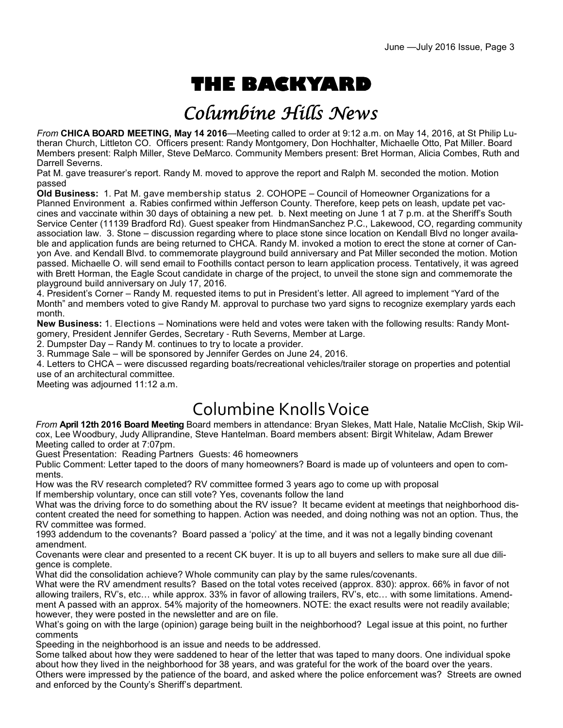# **THE BACKYARD**

## Columbine Hills News

*From* **CHICA BOARD MEETING, May 14 2016**—Meeting called to order at 9:12 a.m. on May 14, 2016, at St Philip Lutheran Church, Littleton CO. Officers present: Randy Montgomery, Don Hochhalter, Michaelle Otto, Pat Miller. Board Members present: Ralph Miller, Steve DeMarco. Community Members present: Bret Horman, Alicia Combes, Ruth and Darrell Severns.

Pat M. gave treasurer's report. Randy M. moved to approve the report and Ralph M. seconded the motion. Motion passed

**Old Business:** 1. Pat M. gave membership status 2. COHOPE – Council of Homeowner Organizations for a Planned Environment a. Rabies confirmed within Jefferson County. Therefore, keep pets on leash, update pet vaccines and vaccinate within 30 days of obtaining a new pet. b. Next meeting on June 1 at 7 p.m. at the Sheriff's South Service Center (11139 Bradford Rd). Guest speaker from HindmanSanchez P.C., Lakewood, CO, regarding community association law. 3. Stone – discussion regarding where to place stone since location on Kendall Blvd no longer available and application funds are being returned to CHCA. Randy M. invoked a motion to erect the stone at corner of Canyon Ave. and Kendall Blvd. to commemorate playground build anniversary and Pat Miller seconded the motion. Motion passed. Michaelle O. will send email to Foothills contact person to learn application process. Tentatively, it was agreed with Brett Horman, the Eagle Scout candidate in charge of the project, to unveil the stone sign and commemorate the playground build anniversary on July 17, 2016.

4. President's Corner – Randy M. requested items to put in President's letter. All agreed to implement "Yard of the Month" and members voted to give Randy M. approval to purchase two yard signs to recognize exemplary yards each month.

**New Business:** 1. Elections – Nominations were held and votes were taken with the following results: Randy Montgomery, President Jennifer Gerdes, Secretary - Ruth Severns, Member at Large.

2. Dumpster Day – Randy M. continues to try to locate a provider.

3. Rummage Sale – will be sponsored by Jennifer Gerdes on June 24, 2016.

4. Letters to CHCA – were discussed regarding boats/recreational vehicles/trailer storage on properties and potential use of an architectural committee.

Meeting was adjourned 11:12 a.m.

## Columbine Knolls Voice

*From* **April 12th 2016 Board Meeting** Board members in attendance: Bryan Slekes, Matt Hale, Natalie McClish, Skip Wilcox, Lee Woodbury, Judy Alliprandine, Steve Hantelman. Board members absent: Birgit Whitelaw, Adam Brewer Meeting called to order at 7:07pm.

Guest Presentation: Reading Partners Guests: 46 homeowners

Public Comment: Letter taped to the doors of many homeowners? Board is made up of volunteers and open to comments.

How was the RV research completed? RV committee formed 3 years ago to come up with proposal

If membership voluntary, once can still vote? Yes, covenants follow the land

What was the driving force to do something about the RV issue? It became evident at meetings that neighborhood discontent created the need for something to happen. Action was needed, and doing nothing was not an option. Thus, the RV committee was formed.

1993 addendum to the covenants? Board passed a 'policy' at the time, and it was not a legally binding covenant amendment.

Covenants were clear and presented to a recent CK buyer. It is up to all buyers and sellers to make sure all due diligence is complete.

What did the consolidation achieve? Whole community can play by the same rules/covenants.

What were the RV amendment results? Based on the total votes received (approx. 830): approx. 66% in favor of not allowing trailers, RV's, etc… while approx. 33% in favor of allowing trailers, RV's, etc… with some limitations. Amendment A passed with an approx. 54% majority of the homeowners. NOTE: the exact results were not readily available; however, they were posted in the newsletter and are on file.

What's going on with the large (opinion) garage being built in the neighborhood? Legal issue at this point, no further comments

Speeding in the neighborhood is an issue and needs to be addressed.

Some talked about how they were saddened to hear of the letter that was taped to many doors. One individual spoke about how they lived in the neighborhood for 38 years, and was grateful for the work of the board over the years. Others were impressed by the patience of the board, and asked where the police enforcement was? Streets are owned and enforced by the County's Sheriff's department.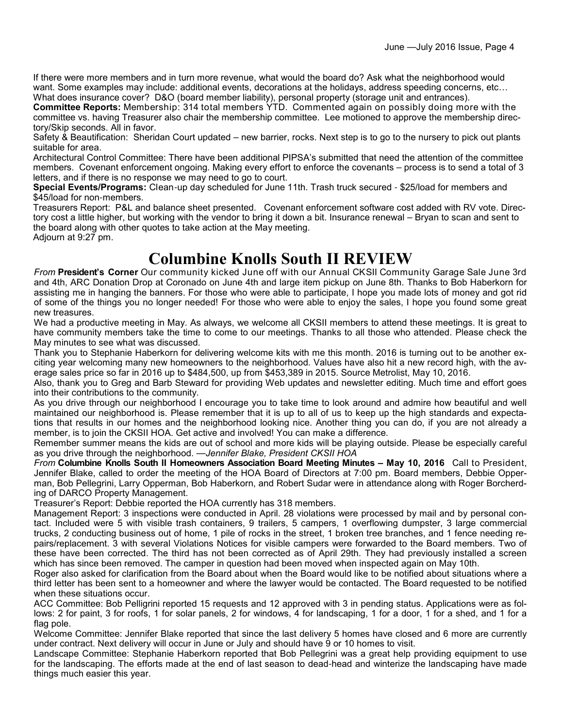If there were more members and in turn more revenue, what would the board do? Ask what the neighborhood would want. Some examples may include: additional events, decorations at the holidays, address speeding concerns, etc… What does insurance cover? D&O (board member liability), personal property (storage unit and entrances).

**Committee Reports:** Membership: 314 total members YTD. Commented again on possibly doing more with the committee vs. having Treasurer also chair the membership committee. Lee motioned to approve the membership directory/Skip seconds. All in favor.

Safety & Beautification: Sheridan Court updated – new barrier, rocks. Next step is to go to the nursery to pick out plants suitable for area.

Architectural Control Committee: There have been additional PIPSA's submitted that need the attention of the committee members. Covenant enforcement ongoing. Making every effort to enforce the covenants – process is to send a total of 3 letters, and if there is no response we may need to go to court.

**Special Events/Programs:** Clean-up day scheduled for June 11th. Trash truck secured - \$25/load for members and \$45/load for non-members.

Treasurers Report: P&L and balance sheet presented. Covenant enforcement software cost added with RV vote. Directory cost a little higher, but working with the vendor to bring it down a bit. Insurance renewal – Bryan to scan and sent to the board along with other quotes to take action at the May meeting. Adjourn at 9:27 pm.

**Columbine Knolls South II REVIEW** 

*From* **President's Corner** Our community kicked June off with our Annual CKSII Community Garage Sale June 3rd and 4th, ARC Donation Drop at Coronado on June 4th and large item pickup on June 8th. Thanks to Bob Haberkorn for assisting me in hanging the banners. For those who were able to participate, I hope you made lots of money and got rid of some of the things you no longer needed! For those who were able to enjoy the sales, I hope you found some great new treasures.

We had a productive meeting in May. As always, we welcome all CKSII members to attend these meetings. It is great to have community members take the time to come to our meetings. Thanks to all those who attended. Please check the May minutes to see what was discussed.

Thank you to Stephanie Haberkorn for delivering welcome kits with me this month. 2016 is turning out to be another exciting year welcoming many new homeowners to the neighborhood. Values have also hit a new record high, with the average sales price so far in 2016 up to \$484,500, up from \$453,389 in 2015. Source Metrolist, May 10, 2016.

Also, thank you to Greg and Barb Steward for providing Web updates and newsletter editing. Much time and effort goes into their contributions to the community.

As you drive through our neighborhood I encourage you to take time to look around and admire how beautiful and well maintained our neighborhood is. Please remember that it is up to all of us to keep up the high standards and expectations that results in our homes and the neighborhood looking nice. Another thing you can do, if you are not already a member, is to join the CKSII HOA. Get active and involved! You can make a difference.

Remember summer means the kids are out of school and more kids will be playing outside. Please be especially careful as you drive through the neighborhood. —*Jennifer Blake, President CKSII HOA*

*From* **Columbine Knolls South II Homeowners Association Board Meeting Minutes – May 10, 2016** Call to President, Jennifer Blake, called to order the meeting of the HOA Board of Directors at 7:00 pm. Board members, Debbie Opperman, Bob Pellegrini, Larry Opperman, Bob Haberkorn, and Robert Sudar were in attendance along with Roger Borcherding of DARCO Property Management.

Treasurer's Report: Debbie reported the HOA currently has 318 members.

Management Report: 3 inspections were conducted in April. 28 violations were processed by mail and by personal contact. Included were 5 with visible trash containers, 9 trailers, 5 campers, 1 overflowing dumpster, 3 large commercial trucks, 2 conducting business out of home, 1 pile of rocks in the street, 1 broken tree branches, and 1 fence needing repairs/replacement. 3 with several Violations Notices for visible campers were forwarded to the Board members. Two of these have been corrected. The third has not been corrected as of April 29th. They had previously installed a screen which has since been removed. The camper in question had been moved when inspected again on May 10th.

Roger also asked for clarification from the Board about when the Board would like to be notified about situations where a third letter has been sent to a homeowner and where the lawyer would be contacted. The Board requested to be notified when these situations occur.

ACC Committee: Bob Pelligrini reported 15 requests and 12 approved with 3 in pending status. Applications were as follows: 2 for paint, 3 for roofs, 1 for solar panels, 2 for windows, 4 for landscaping, 1 for a door, 1 for a shed, and 1 for a flag pole.

Welcome Committee: Jennifer Blake reported that since the last delivery 5 homes have closed and 6 more are currently under contract. Next delivery will occur in June or July and should have 9 or 10 homes to visit.

Landscape Committee: Stephanie Haberkorn reported that Bob Pellegrini was a great help providing equipment to use for the landscaping. The efforts made at the end of last season to dead-head and winterize the landscaping have made things much easier this year.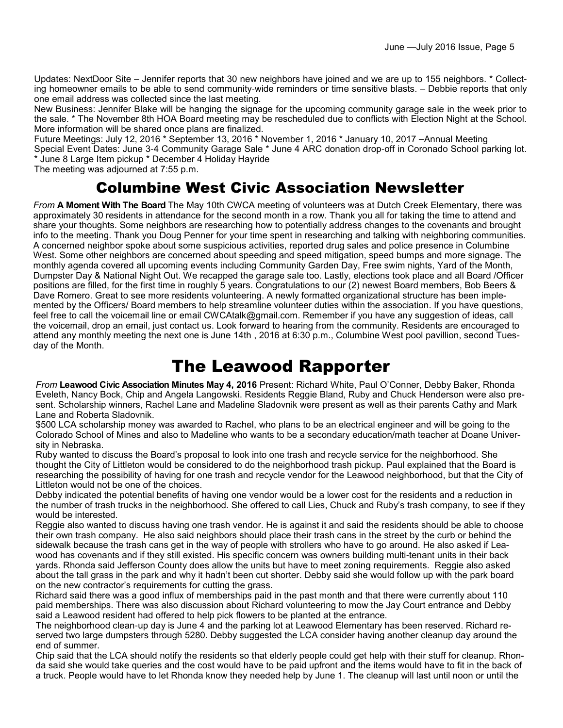Updates: NextDoor Site – Jennifer reports that 30 new neighbors have joined and we are up to 155 neighbors. \* Collecting homeowner emails to be able to send community-wide reminders or time sensitive blasts. – Debbie reports that only one email address was collected since the last meeting.

New Business: Jennifer Blake will be hanging the signage for the upcoming community garage sale in the week prior to the sale. \* The November 8th HOA Board meeting may be rescheduled due to conflicts with Election Night at the School. More information will be shared once plans are finalized.

Future Meetings: July 12, 2016 \* September 13, 2016 \* November 1, 2016 \* January 10, 2017 –Annual Meeting Special Event Dates: June 3-4 Community Garage Sale \* June 4 ARC donation drop-off in Coronado School parking lot. \* June 8 Large Item pickup \* December 4 Holiday Hayride

The meeting was adjourned at 7:55 p.m.

### Columbine West Civic Association Newsletter

*From* **A Moment With The Board** The May 10th CWCA meeting of volunteers was at Dutch Creek Elementary, there was approximately 30 residents in attendance for the second month in a row. Thank you all for taking the time to attend and share your thoughts. Some neighbors are researching how to potentially address changes to the covenants and brought info to the meeting. Thank you Doug Penner for your time spent in researching and talking with neighboring communities. A concerned neighbor spoke about some suspicious activities, reported drug sales and police presence in Columbine West. Some other neighbors are concerned about speeding and speed mitigation, speed bumps and more signage. The monthly agenda covered all upcoming events including Community Garden Day, Free swim nights, Yard of the Month, Dumpster Day & National Night Out. We recapped the garage sale too. Lastly, elections took place and all Board /Officer positions are filled, for the first time in roughly 5 years. Congratulations to our (2) newest Board members, Bob Beers & Dave Romero. Great to see more residents volunteering. A newly formatted organizational structure has been implemented by the Officers/ Board members to help streamline volunteer duties within the association. If you have questions, feel free to call the voicemail line or email CWCAtalk@gmail.com. Remember if you have any suggestion of ideas, call the voicemail, drop an email, just contact us. Look forward to hearing from the community. Residents are encouraged to attend any monthly meeting the next one is June 14th , 2016 at 6:30 p.m., Columbine West pool pavillion, second Tuesday of the Month.

### The Leawood Rapporter

*From* **Leawood Civic Association Minutes May 4, 2016** Present: Richard White, Paul O'Conner, Debby Baker, Rhonda Eveleth, Nancy Bock, Chip and Angela Langowski. Residents Reggie Bland, Ruby and Chuck Henderson were also present. Scholarship winners, Rachel Lane and Madeline Sladovnik were present as well as their parents Cathy and Mark Lane and Roberta Sladovnik.

\$500 LCA scholarship money was awarded to Rachel, who plans to be an electrical engineer and will be going to the Colorado School of Mines and also to Madeline who wants to be a secondary education/math teacher at Doane University in Nebraska.

Ruby wanted to discuss the Board's proposal to look into one trash and recycle service for the neighborhood. She thought the City of Littleton would be considered to do the neighborhood trash pickup. Paul explained that the Board is researching the possibility of having for one trash and recycle vendor for the Leawood neighborhood, but that the City of Littleton would not be one of the choices.

Debby indicated the potential benefits of having one vendor would be a lower cost for the residents and a reduction in the number of trash trucks in the neighborhood. She offered to call Lies, Chuck and Ruby's trash company, to see if they would be interested.

Reggie also wanted to discuss having one trash vendor. He is against it and said the residents should be able to choose their own trash company. He also said neighbors should place their trash cans in the street by the curb or behind the sidewalk because the trash cans get in the way of people with strollers who have to go around. He also asked if Leawood has covenants and if they still existed. His specific concern was owners building multi-tenant units in their back yards. Rhonda said Jefferson County does allow the units but have to meet zoning requirements. Reggie also asked about the tall grass in the park and why it hadn't been cut shorter. Debby said she would follow up with the park board on the new contractor's requirements for cutting the grass.

Richard said there was a good influx of memberships paid in the past month and that there were currently about 110 paid memberships. There was also discussion about Richard volunteering to mow the Jay Court entrance and Debby said a Leawood resident had offered to help pick flowers to be planted at the entrance.

The neighborhood clean-up day is June 4 and the parking lot at Leawood Elementary has been reserved. Richard reserved two large dumpsters through 5280. Debby suggested the LCA consider having another cleanup day around the end of summer.

Chip said that the LCA should notify the residents so that elderly people could get help with their stuff for cleanup. Rhonda said she would take queries and the cost would have to be paid upfront and the items would have to fit in the back of a truck. People would have to let Rhonda know they needed help by June 1. The cleanup will last until noon or until the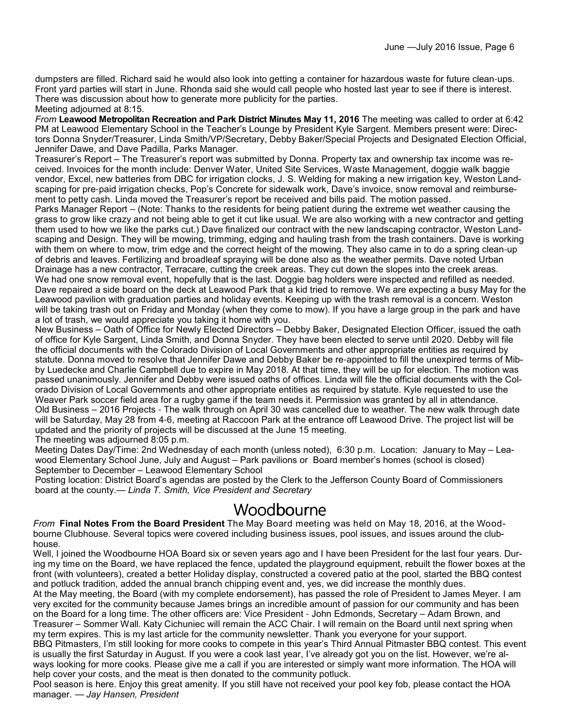dumpsters are filled. Richard said he would also look into getting a container for hazardous waste for future clean-ups. Front yard parties will start in June. Rhonda said she would call people who hosted last year to see if there is interest. There was discussion about how to generate more publicity for the parties.

Meeting adjourned at 8:15.

*From* **Leawood Metropolitan Recreation and Park District Minutes May 11, 2016** The meeting was called to order at 6:42 PM at Leawood Elementary School in the Teacher's Lounge by President Kyle Sargent. Members present were: Directors Donna Snyder/Treasurer, Linda Smith/VP/Secretary, Debby Baker/Special Projects and Designated Election Official, Jennifer Dawe, and Dave Padilla, Parks Manager.

Treasurer's Report – The Treasurer's report was submitted by Donna. Property tax and ownership tax income was received. Invoices for the month include: Denver Water, United Site Services, Waste Management, doggie walk baggie vendor, Excel, new batteries from DBC for irrigation clocks, J. S. Welding for making a new irrigation key, Weston Landscaping for pre-paid irrigation checks, Pop's Concrete for sidewalk work, Dave's invoice, snow removal and reimbursement to petty cash. Linda moved the Treasurer's report be received and bills paid. The motion passed.

Parks Manager Report – (Note: Thanks to the residents for being patient during the extreme wet weather causing the grass to grow like crazy and not being able to get it cut like usual. We are also working with a new contractor and getting them used to how we like the parks cut.) Dave finalized our contract with the new landscaping contractor, Weston Landscaping and Design. They will be mowing, trimming, edging and hauling trash from the trash containers. Dave is working with them on where to mow, trim edge and the correct height of the mowing. They also came in to do a spring clean-up of debris and leaves. Fertilizing and broadleaf spraying will be done also as the weather permits. Dave noted Urban Drainage has a new contractor, Terracare, cutting the creek areas. They cut down the slopes into the creek areas. We had one snow removal event, hopefully that is the last. Doggie bag holders were inspected and refilled as needed. Dave repaired a side board on the deck at Leawood Park that a kid tried to remove. We are expecting a busy May for the Leawood pavilion with graduation parties and holiday events. Keeping up with the trash removal is a concern. Weston will be taking trash out on Friday and Monday (when they come to mow). If you have a large group in the park and have a lot of trash, we would appreciate you taking it home with you.

New Business – Oath of Office for Newly Elected Directors – Debby Baker, Designated Election Officer, issued the oath of office for Kyle Sargent, Linda Smith, and Donna Snyder. They have been elected to serve until 2020. Debby will file the official documents with the Colorado Division of Local Governments and other appropriate entities as required by statute. Donna moved to resolve that Jennifer Dawe and Debby Baker be re-appointed to fill the unexpired terms of Mibby Luedecke and Charlie Campbell due to expire in May 2018. At that time, they will be up for election. The motion was passed unanimously. Jennifer and Debby were issued oaths of offices. Linda will file the official documents with the Colorado Division of Local Governments and other appropriate entities as required by statute. Kyle requested to use the Weaver Park soccer field area for a rugby game if the team needs it. Permission was granted by all in attendance. Old Business – 2016 Projects - The walk through on April 30 was cancelled due to weather. The new walk through date will be Saturday, May 28 from 4-6, meeting at Raccoon Park at the entrance off Leawood Drive. The project list will be updated and the priority of projects will be discussed at the June 15 meeting.

The meeting was adjourned 8:05 p.m.

Meeting Dates Day/Time: 2nd Wednesday of each month (unless noted), 6:30 p.m. Location: January to May – Leawood Elementary School June, July and August – Park pavilions or Board member's homes (school is closed) September to December – Leawood Elementary School

Posting location: District Board's agendas are posted by the Clerk to the Jefferson County Board of Commissioners board at the county.— *Linda T. Smith, Vice President and Secretary*

#### Woodbourne

*From* **Final Notes From the Board President** The May Board meeting was held on May 18, 2016, at the Woodbourne Clubhouse. Several topics were covered including business issues, pool issues, and issues around the clubhouse.

Well, I joined the Woodbourne HOA Board six or seven years ago and I have been President for the last four years. During my time on the Board, we have replaced the fence, updated the playground equipment, rebuilt the flower boxes at the front (with volunteers), created a better Holiday display, constructed a covered patio at the pool, started the BBQ contest and potluck tradition, added the annual branch chipping event and, yes, we did increase the monthly dues.

At the May meeting, the Board (with my complete endorsement), has passed the role of President to James Meyer. I am very excited for the community because James brings an incredible amount of passion for our community and has been on the Board for a long time. The other officers are: Vice President - John Edmonds, Secretary – Adam Brown, and Treasurer – Sommer Wall. Katy Cichuniec will remain the ACC Chair. I will remain on the Board until next spring when my term expires. This is my last article for the community newsletter. Thank you everyone for your support.

BBQ Pitmasters, I'm still looking for more cooks to compete in this year's Third Annual Pitmaster BBQ contest. This event is usually the first Saturday in August. If you were a cook last year, I've already got you on the list. However, we're always looking for more cooks. Please give me a call if you are interested or simply want more information. The HOA will help cover your costs, and the meat is then donated to the community potluck.

Pool season is here. Enjoy this great amenity. If you still have not received your pool key fob, please contact the HOA manager. — *Jay Hansen, President*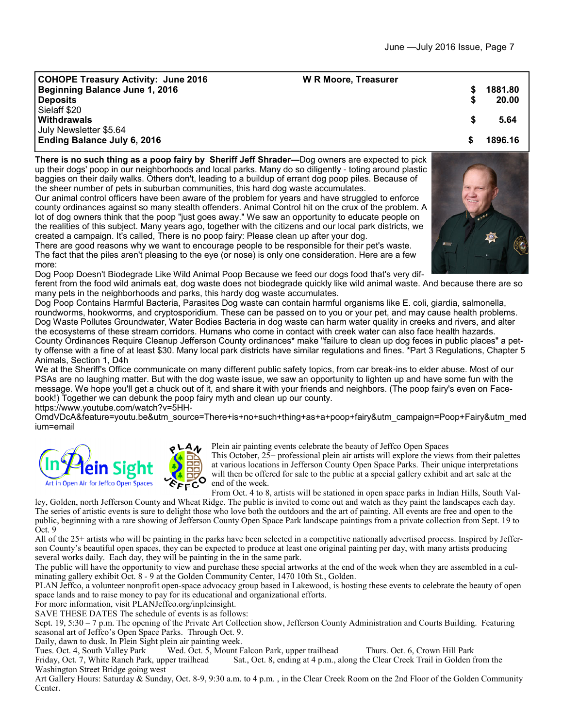| <b>COHOPE Treasury Activity: June 2016</b><br><b>Beginning Balance June 1, 2016</b><br><b>Deposits</b> | <b>W R Moore, Treasurer</b> | 1881.80<br>20.00 |
|--------------------------------------------------------------------------------------------------------|-----------------------------|------------------|
| Sielaff \$20<br>Withdrawals<br>July Newsletter \$5.64                                                  |                             | 5.64             |
| <b>Ending Balance July 6, 2016</b>                                                                     |                             | 1896.16          |

**There is no such thing as a poop fairy by Sheriff Jeff Shrader—**Dog owners are expected to pick up their dogs' poop in our neighborhoods and local parks. Many do so diligently - toting around plastic baggies on their daily walks. Others don't, leading to a buildup of errant dog poop piles. Because of the sheer number of pets in suburban communities, this hard dog waste accumulates. Our animal control officers have been aware of the problem for years and have struggled to enforce

county ordinances against so many stealth offenders. Animal Control hit on the crux of the problem. A lot of dog owners think that the poop "just goes away." We saw an opportunity to educate people on the realities of this subject. Many years ago, together with the citizens and our local park districts, we created a campaign. It's called, There is no poop fairy: Please clean up after your dog.

There are good reasons why we want to encourage people to be responsible for their pet's waste. The fact that the piles aren't pleasing to the eye (or nose) is only one consideration. Here are a few more:

Dog Poop Doesn't Biodegrade Like Wild Animal Poop Because we feed our dogs food that's very dif-

ferent from the food wild animals eat, dog waste does not biodegrade quickly like wild animal waste. And because there are so many pets in the neighborhoods and parks, this hardy dog waste accumulates.

Dog Poop Contains Harmful Bacteria, Parasites Dog waste can contain harmful organisms like E. coli, giardia, salmonella, roundworms, hookworms, and cryptosporidium. These can be passed on to you or your pet, and may cause health problems. Dog Waste Pollutes Groundwater, Water Bodies Bacteria in dog waste can harm water quality in creeks and rivers, and alter the ecosystems of these stream corridors. Humans who come in contact with creek water can also face health hazards. County Ordinances Require Cleanup Jefferson County ordinances\* make "failure to clean up dog feces in public places" a petty offense with a fine of at least \$30. Many local park districts have similar regulations and fines. \*Part 3 Regulations, Chapter 5

Animals, Section 1, D4h We at the Sheriff's Office communicate on many different public safety topics, from car break-ins to elder abuse. Most of our PSAs are no laughing matter. But with the dog waste issue, we saw an opportunity to lighten up and have some fun with the message. We hope you'll get a chuck out of it, and share it with your friends and neighbors. (The poop fairy's even on Facebook!) Together we can debunk the poop fairy myth and clean up our county.

https://www.youtube.com/watch?v=5HH-

OmdVDcA&feature=youtu.be&utm\_source=There+is+no+such+thing+as+a+poop+fairy&utm\_campaign=Poop+Fairy&utm\_med ium=email



Plein air painting events celebrate the beauty of Jeffco Open Spaces

This October, 25+ professional plein air artists will explore the views from their palettes at various locations in Jefferson County Open Space Parks. Their unique interpretations will then be offered for sale to the public at a special gallery exhibit and art sale at the end of the week.

From Oct. 4 to 8, artists will be stationed in open space parks in Indian Hills, South Valley, Golden, north Jefferson County and Wheat Ridge. The public is invited to come out and watch as they paint the landscapes each day. The series of artistic events is sure to delight those who love both the outdoors and the art of painting. All events are free and open to the public, beginning with a rare showing of Jefferson County Open Space Park landscape paintings from a private collection from Sept. 19 to

Oct. 9 All of the 25+ artists who will be painting in the parks have been selected in a competitive nationally advertised process. Inspired by Jefferson County's beautiful open spaces, they can be expected to produce at least one original painting per day, with many artists producing several works daily. Each day, they will be painting in the in the same park.

The public will have the opportunity to view and purchase these special artworks at the end of the week when they are assembled in a culminating gallery exhibit Oct. 8 - 9 at the Golden Community Center, 1470 10th St., Golden.

PLAN Jeffco, a volunteer nonprofit open-space advocacy group based in Lakewood, is hosting these events to celebrate the beauty of open space lands and to raise money to pay for its educational and organizational efforts.

For more information, visit PLANJeffco.org/inpleinsight.

SAVE THESE DATES The schedule of events is as follows:

Sept. 19, 5:30 – 7 p.m. The opening of the Private Art Collection show, Jefferson County Administration and Courts Building. Featuring seasonal art of Jeffco's Open Space Parks. Through Oct. 9.

Daily, dawn to dusk. In Plein Sight plein air painting week.<br>Tues. Oct. 4, South Valley Park Wed. Oct. 5, Mount F

Tues. Oct. 4, South Valley Park Wed. Oct. 5, Mount Falcon Park, upper trailhead Thurs. Oct. 6, Crown Hill Park<br>Friday, Oct. 7, White Ranch Park, upper trailhead Sat., Oct. 8, ending at 4 p.m., along the Clear Creek Trail i Sat., Oct. 8, ending at 4 p.m., along the Clear Creek Trail in Golden from the Washington Street Bridge going west

Art Gallery Hours: Saturday & Sunday, Oct. 8-9, 9:30 a.m. to 4 p.m. , in the Clear Creek Room on the 2nd Floor of the Golden Community Center.